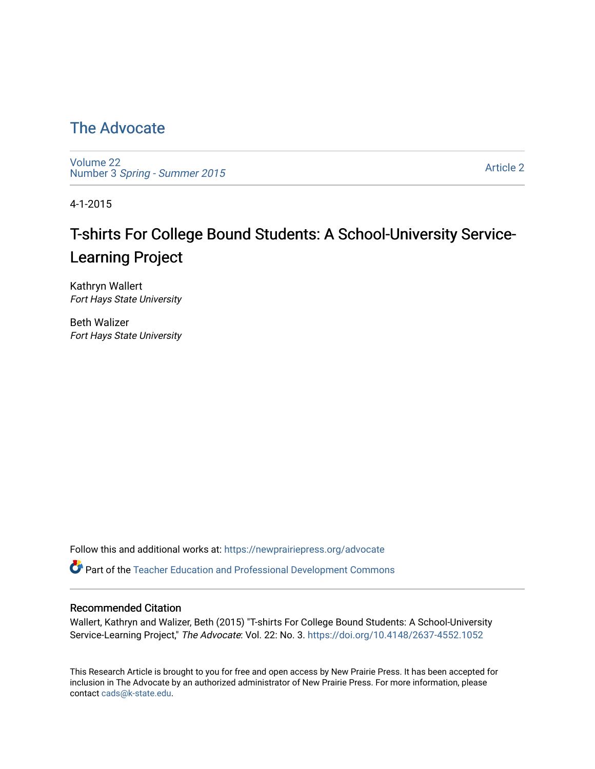## [The Advocate](https://newprairiepress.org/advocate)

[Volume 22](https://newprairiepress.org/advocate/vol22) Number 3 [Spring - Summer 2015](https://newprairiepress.org/advocate/vol22/iss3) 

[Article 2](https://newprairiepress.org/advocate/vol22/iss3/2) 

4-1-2015

# T-shirts For College Bound Students: A School-University Service-Learning Project

Kathryn Wallert Fort Hays State University

Beth Walizer Fort Hays State University

Follow this and additional works at: [https://newprairiepress.org/advocate](https://newprairiepress.org/advocate?utm_source=newprairiepress.org%2Fadvocate%2Fvol22%2Fiss3%2F2&utm_medium=PDF&utm_campaign=PDFCoverPages) 

Part of the [Teacher Education and Professional Development Commons](http://network.bepress.com/hgg/discipline/803?utm_source=newprairiepress.org%2Fadvocate%2Fvol22%2Fiss3%2F2&utm_medium=PDF&utm_campaign=PDFCoverPages) 

#### Recommended Citation

Wallert, Kathryn and Walizer, Beth (2015) "T-shirts For College Bound Students: A School-University Service-Learning Project," The Advocate: Vol. 22: No. 3. <https://doi.org/10.4148/2637-4552.1052>

This Research Article is brought to you for free and open access by New Prairie Press. It has been accepted for inclusion in The Advocate by an authorized administrator of New Prairie Press. For more information, please contact [cads@k-state.edu](mailto:cads@k-state.edu).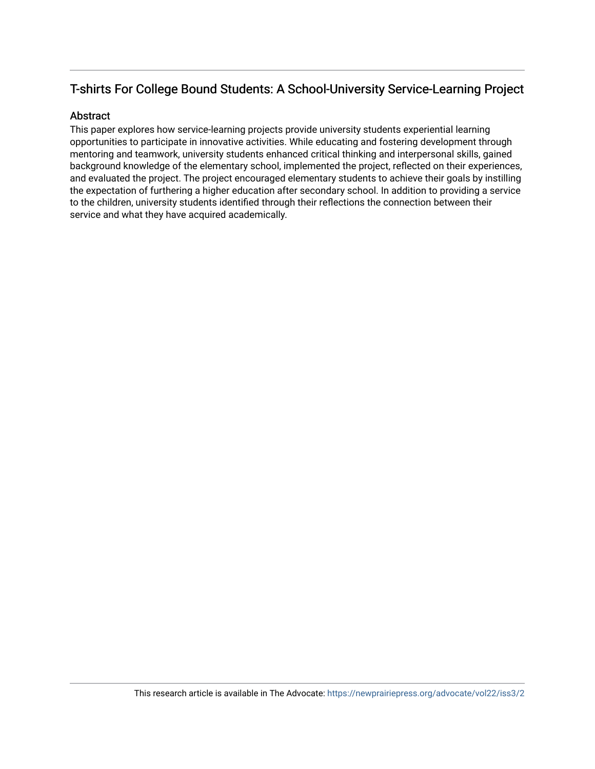#### T-shirts For College Bound Students: A School-University Service-Learning Project

#### Abstract

This paper explores how service-learning projects provide university students experiential learning opportunities to participate in innovative activities. While educating and fostering development through mentoring and teamwork, university students enhanced critical thinking and interpersonal skills, gained background knowledge of the elementary school, implemented the project, reflected on their experiences, and evaluated the project. The project encouraged elementary students to achieve their goals by instilling the expectation of furthering a higher education after secondary school. In addition to providing a service to the children, university students identified through their reflections the connection between their service and what they have acquired academically.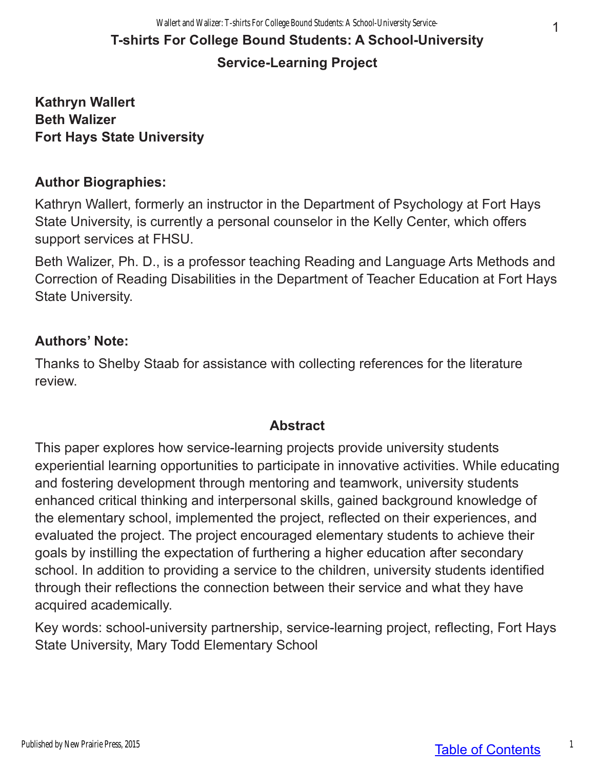# **T-shirts For College Bound Students: A School-University Service-Learning Project**

#### **Kathryn Wallert Beth Walizer Fort Hays State University**

#### **Author Biographies:**

Kathryn Wallert, formerly an instructor in the Department of Psychology at Fort Hays State University, is currently a personal counselor in the Kelly Center, which offers support services at FHSU.

Beth Walizer, Ph. D., is a professor teaching Reading and Language Arts Methods and Correction of Reading Disabilities in the Department of Teacher Education at Fort Hays State University.

#### **Authors' Note:**

Thanks to Shelby Staab for assistance with collecting references for the literature review.

#### **Abstract**

This paper explores how service-learning projects provide university students experiential learning opportunities to participate in innovative activities. While educating and fostering development through mentoring and teamwork, university students enhanced critical thinking and interpersonal skills, gained background knowledge of the elementary school, implemented the project, reflected on their experiences, and evaluated the project. The project encouraged elementary students to achieve their goals by instilling the expectation of furthering a higher education after secondary school. In addition to providing a service to the children, university students identified through their reflections the connection between their service and what they have acquired academically.

Key words: school-university partnership, service-learning project, reflecting, Fort Hays State University, Mary Todd Elementary School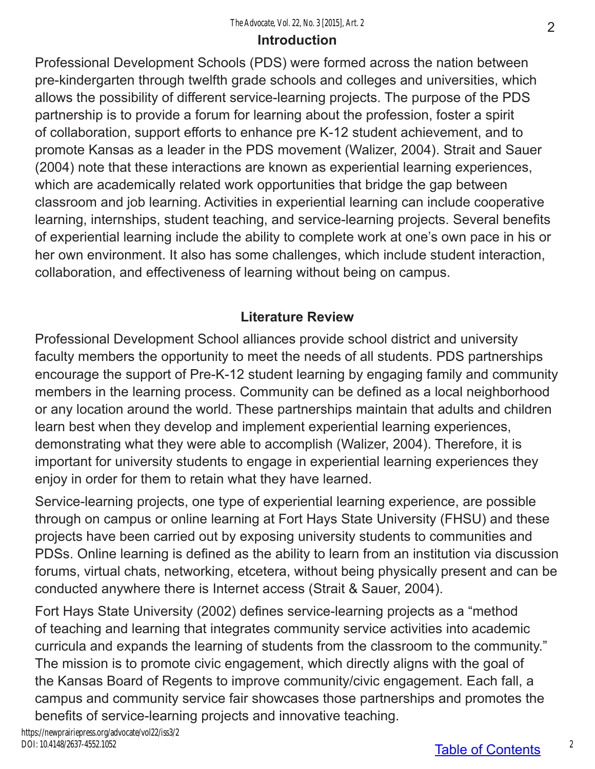#### **Introduction**

Professional Development Schools (PDS) were formed across the nation between pre-kindergarten through twelfth grade schools and colleges and universities, which allows the possibility of different service-learning projects. The purpose of the PDS partnership is to provide a forum for learning about the profession, foster a spirit of collaboration, support efforts to enhance pre K-12 student achievement, and to promote Kansas as a leader in the PDS movement (Walizer, 2004). Strait and Sauer (2004) note that these interactions are known as experiential learning experiences, which are academically related work opportunities that bridge the gap between classroom and job learning. Activities in experiential learning can include cooperative learning, internships, student teaching, and service-learning projects. Several benefits of experiential learning include the ability to complete work at one's own pace in his or her own environment. It also has some challenges, which include student interaction, collaboration, and effectiveness of learning without being on campus.

### **Literature Review**

Professional Development School alliances provide school district and university faculty members the opportunity to meet the needs of all students. PDS partnerships encourage the support of Pre-K-12 student learning by engaging family and community members in the learning process. Community can be defined as a local neighborhood or any location around the world. These partnerships maintain that adults and children learn best when they develop and implement experiential learning experiences, demonstrating what they were able to accomplish (Walizer, 2004). Therefore, it is important for university students to engage in experiential learning experiences they enjoy in order for them to retain what they have learned.

Service-learning projects, one type of experiential learning experience, are possible through on campus or online learning at Fort Hays State University (FHSU) and these projects have been carried out by exposing university students to communities and PDSs. Online learning is defined as the ability to learn from an institution via discussion forums, virtual chats, networking, etcetera, without being physically present and can be conducted anywhere there is Internet access (Strait & Sauer, 2004).

Fort Hays State University (2002) defines service-learning projects as a "method of teaching and learning that integrates community service activities into academic curricula and expands the learning of students from the classroom to the community." The mission is to promote civic engagement, which directly aligns with the goal of the Kansas Board of Regents to improve community/civic engagement. Each fall, a campus and community service fair showcases those partnerships and promotes the benefits of service-learning projects and innovative teaching.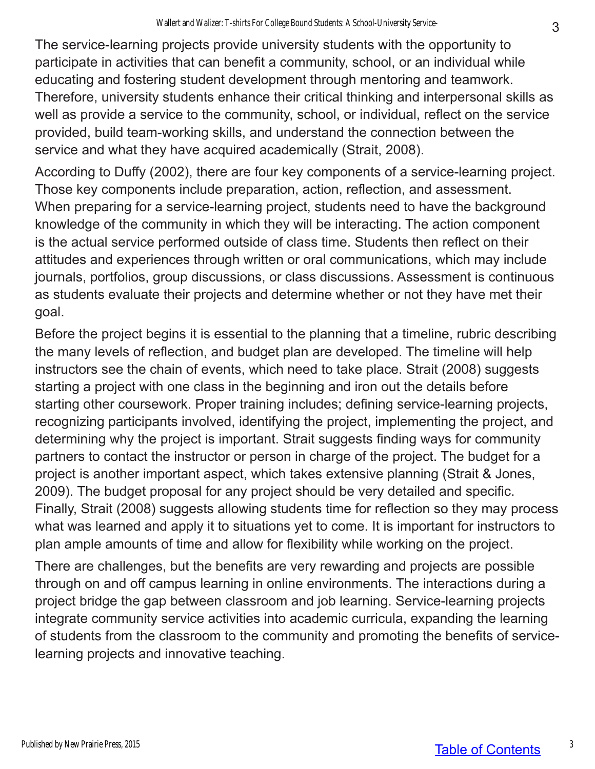The service-learning projects provide university students with the opportunity to participate in activities that can benefit a community, school, or an individual while educating and fostering student development through mentoring and teamwork. Therefore, university students enhance their critical thinking and interpersonal skills as well as provide a service to the community, school, or individual, reflect on the service provided, build team-working skills, and understand the connection between the service and what they have acquired academically (Strait, 2008).

According to Duffy (2002), there are four key components of a service-learning project. Those key components include preparation, action, reflection, and assessment. When preparing for a service-learning project, students need to have the background knowledge of the community in which they will be interacting. The action component is the actual service performed outside of class time. Students then reflect on their attitudes and experiences through written or oral communications, which may include journals, portfolios, group discussions, or class discussions. Assessment is continuous as students evaluate their projects and determine whether or not they have met their goal.

Before the project begins it is essential to the planning that a timeline, rubric describing the many levels of reflection, and budget plan are developed. The timeline will help instructors see the chain of events, which need to take place. Strait (2008) suggests starting a project with one class in the beginning and iron out the details before starting other coursework. Proper training includes; defining service-learning projects, recognizing participants involved, identifying the project, implementing the project, and determining why the project is important. Strait suggests finding ways for community partners to contact the instructor or person in charge of the project. The budget for a project is another important aspect, which takes extensive planning (Strait & Jones, 2009). The budget proposal for any project should be very detailed and specific. Finally, Strait (2008) suggests allowing students time for reflection so they may process what was learned and apply it to situations yet to come. It is important for instructors to plan ample amounts of time and allow for flexibility while working on the project.

There are challenges, but the benefits are very rewarding and projects are possible through on and off campus learning in online environments. The interactions during a project bridge the gap between classroom and job learning. Service-learning projects integrate community service activities into academic curricula, expanding the learning of students from the classroom to the community and promoting the benefits of servicelearning projects and innovative teaching.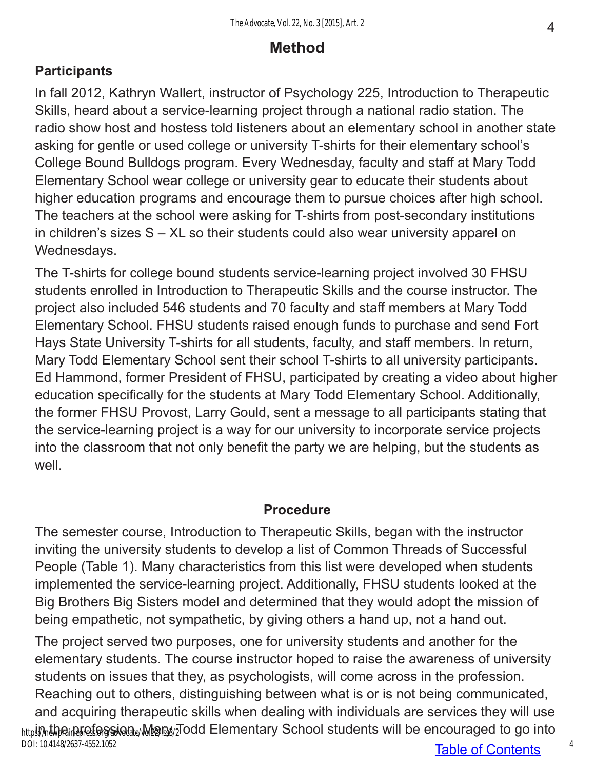# **Method**

### **Participants**

In fall 2012, Kathryn Wallert, instructor of Psychology 225, Introduction to Therapeutic Skills, heard about a service-learning project through a national radio station. The radio show host and hostess told listeners about an elementary school in another state asking for gentle or used college or university T-shirts for their elementary school's College Bound Bulldogs program. Every Wednesday, faculty and staff at Mary Todd Elementary School wear college or university gear to educate their students about higher education programs and encourage them to pursue choices after high school. The teachers at the school were asking for T-shirts from post-secondary institutions in children's sizes S – XL so their students could also wear university apparel on Wednesdays.

The T-shirts for college bound students service-learning project involved 30 FHSU students enrolled in Introduction to Therapeutic Skills and the course instructor. The project also included 546 students and 70 faculty and staff members at Mary Todd Elementary School. FHSU students raised enough funds to purchase and send Fort Hays State University T-shirts for all students, faculty, and staff members. In return, Mary Todd Elementary School sent their school T-shirts to all university participants. Ed Hammond, former President of FHSU, participated by creating a video about higher education specifically for the students at Mary Todd Elementary School. Additionally, the former FHSU Provost, Larry Gould, sent a message to all participants stating that the service-learning project is a way for our university to incorporate service projects into the classroom that not only benefit the party we are helping, but the students as well.

#### **Procedure**

The semester course, Introduction to Therapeutic Skills, began with the instructor inviting the university students to develop a list of Common Threads of Successful People (Table 1). Many characteristics from this list were developed when students implemented the service-learning project. Additionally, FHSU students looked at the Big Brothers Big Sisters model and determined that they would adopt the mission of being empathetic, not sympathetic, by giving others a hand up, not a hand out.

The project served two purposes, one for university students and another for the elementary students. The course instructor hoped to raise the awareness of university students on issues that they, as psychologists, will come across in the profession. Reaching out to others, distinguishing between what is or is not being communicated, and acquiring therapeutic skills when dealing with individuals are services they will use <sub>http</sub>i,,,,the inprofession. Met was also the mentary School students will be encouraged to go into DOI: 10.4148/2637-4552.1052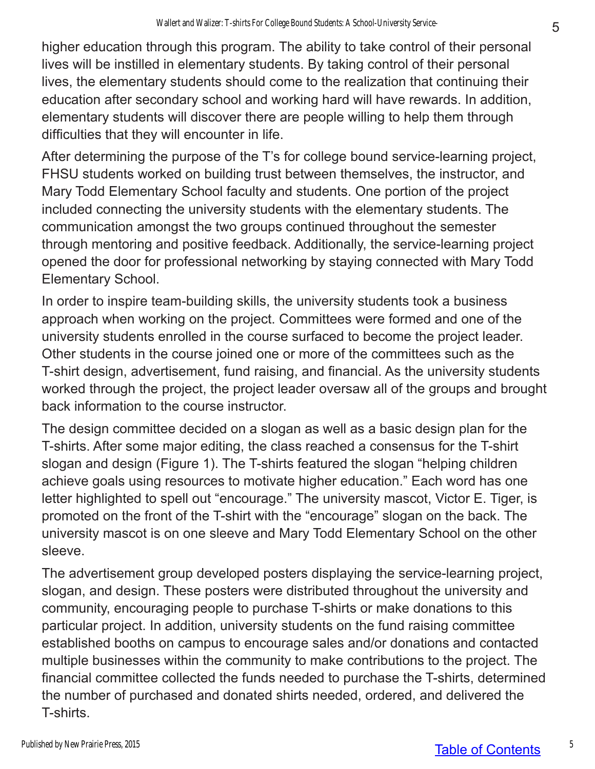higher education through this program. The ability to take control of their personal lives will be instilled in elementary students. By taking control of their personal lives, the elementary students should come to the realization that continuing their education after secondary school and working hard will have rewards. In addition, elementary students will discover there are people willing to help them through difficulties that they will encounter in life.

After determining the purpose of the T's for college bound service-learning project, FHSU students worked on building trust between themselves, the instructor, and Mary Todd Elementary School faculty and students. One portion of the project included connecting the university students with the elementary students. The communication amongst the two groups continued throughout the semester through mentoring and positive feedback. Additionally, the service-learning project opened the door for professional networking by staying connected with Mary Todd Elementary School.

In order to inspire team-building skills, the university students took a business approach when working on the project. Committees were formed and one of the university students enrolled in the course surfaced to become the project leader. Other students in the course joined one or more of the committees such as the T-shirt design, advertisement, fund raising, and financial. As the university students worked through the project, the project leader oversaw all of the groups and brought back information to the course instructor.

The design committee decided on a slogan as well as a basic design plan for the T-shirts. After some major editing, the class reached a consensus for the T-shirt slogan and design (Figure 1). The T-shirts featured the slogan "helping children achieve goals using resources to motivate higher education." Each word has one letter highlighted to spell out "encourage." The university mascot, Victor E. Tiger, is promoted on the front of the T-shirt with the "encourage" slogan on the back. The university mascot is on one sleeve and Mary Todd Elementary School on the other sleeve.

The advertisement group developed posters displaying the service-learning project, slogan, and design. These posters were distributed throughout the university and community, encouraging people to purchase T-shirts or make donations to this particular project. In addition, university students on the fund raising committee established booths on campus to encourage sales and/or donations and contacted multiple businesses within the community to make contributions to the project. The financial committee collected the funds needed to purchase the T-shirts, determined the number of purchased and donated shirts needed, ordered, and delivered the T-shirts.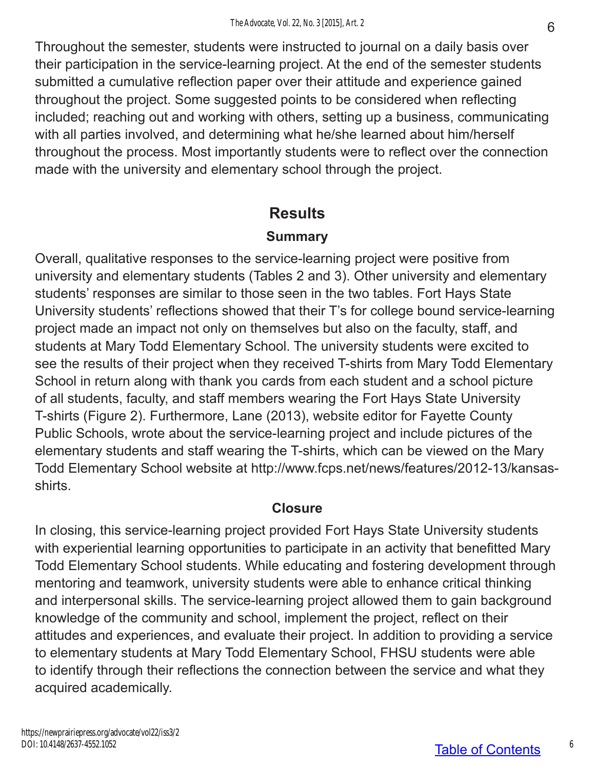Throughout the semester, students were instructed to journal on a daily basis over their participation in the service-learning project. At the end of the semester students submitted a cumulative reflection paper over their attitude and experience gained throughout the project. Some suggested points to be considered when reflecting included; reaching out and working with others, setting up a business, communicating with all parties involved, and determining what he/she learned about him/herself throughout the process. Most importantly students were to reflect over the connection made with the university and elementary school through the project.

## **Results**

### **Summary**

Overall, qualitative responses to the service-learning project were positive from university and elementary students (Tables 2 and 3). Other university and elementary students' responses are similar to those seen in the two tables. Fort Hays State University students' reflections showed that their T's for college bound service-learning project made an impact not only on themselves but also on the faculty, staff, and students at Mary Todd Elementary School. The university students were excited to see the results of their project when they received T-shirts from Mary Todd Elementary School in return along with thank you cards from each student and a school picture of all students, faculty, and staff members wearing the Fort Hays State University T-shirts (Figure 2). Furthermore, Lane (2013), website editor for Fayette County Public Schools, wrote about the service-learning project and include pictures of the elementary students and staff wearing the T-shirts, which can be viewed on the Mary Todd Elementary School website at http://www.fcps.net/news/features/2012-13/kansasshirts.

### **Closure**

In closing, this service-learning project provided Fort Hays State University students with experiential learning opportunities to participate in an activity that benefitted Mary Todd Elementary School students. While educating and fostering development through mentoring and teamwork, university students were able to enhance critical thinking and interpersonal skills. The service-learning project allowed them to gain background knowledge of the community and school, implement the project, reflect on their attitudes and experiences, and evaluate their project. In addition to providing a service to elementary students at Mary Todd Elementary School, FHSU students were able to identify through their reflections the connection between the service and what they acquired academically.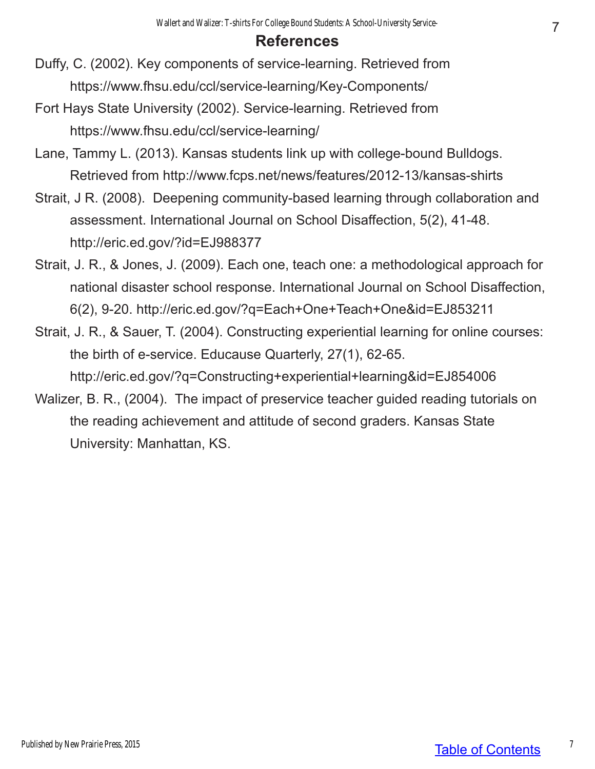### **References**

- Duffy, C. (2002). Key components of service-learning. Retrieved from https://www.fhsu.edu/ccl/service-learning/Key-Components/
- Fort Hays State University (2002). Service-learning. Retrieved from https://www.fhsu.edu/ccl/service-learning/
- Lane, Tammy L. (2013). Kansas students link up with college-bound Bulldogs. Retrieved from http://www.fcps.net/news/features/2012-13/kansas-shirts
- Strait, J R. (2008). Deepening community-based learning through collaboration and assessment. International Journal on School Disaffection, 5(2), 41-48. http://eric.ed.gov/?id=EJ988377
- Strait, J. R., & Jones, J. (2009). Each one, teach one: a methodological approach for national disaster school response. International Journal on School Disaffection, 6(2), 9-20. http://eric.ed.gov/?q=Each+One+Teach+One&id=EJ853211
- Strait, J. R., & Sauer, T. (2004). Constructing experiential learning for online courses: the birth of e-service. Educause Quarterly, 27(1), 62-65. http://eric.ed.gov/?q=Constructing+experiential+learning&id=EJ854006
- Walizer, B. R., (2004). The impact of preservice teacher guided reading tutorials on the reading achievement and attitude of second graders. Kansas State University: Manhattan, KS.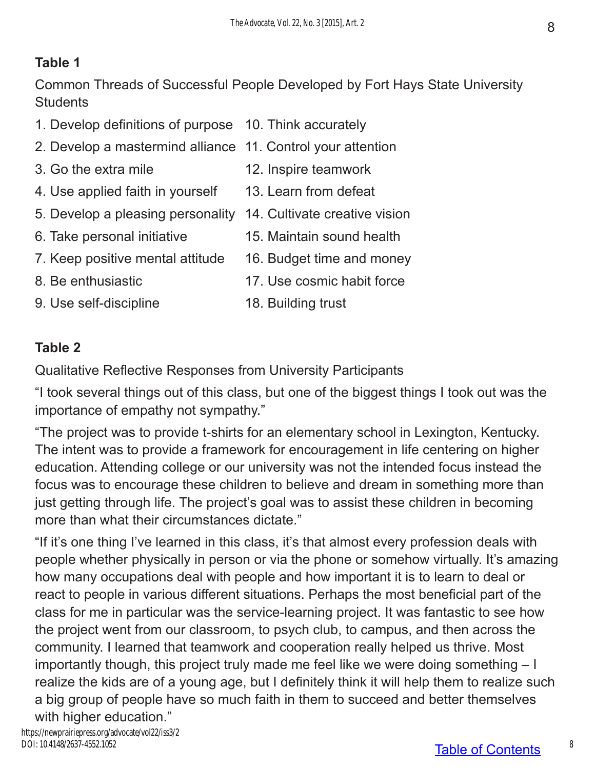### **Table 1**

Common Threads of Successful People Developed by Fort Hays State University **Students** 

- 1. Develop definitions of purpose 10. Think accurately
- 2. Develop a mastermind alliance 11. Control your attention
- 
- 4. Use applied faith in yourself 13. Learn from defeat
- 5. Develop a pleasing personality 14. Cultivate creative vision
- 
- 7. Keep positive mental attitude 16. Budget time and money
- 
- 9. Use self-discipline 18. Building trust
- 3. Go the extra mile 12. Inspire teamwork
	-
	-
- 6. Take personal initiative 15. Maintain sound health
	-
- 8. Be enthusiastic 17. Use cosmic habit force
	-

#### **Table 2**

Qualitative Reflective Responses from University Participants

"I took several things out of this class, but one of the biggest things I took out was the importance of empathy not sympathy."

"The project was to provide t-shirts for an elementary school in Lexington, Kentucky. The intent was to provide a framework for encouragement in life centering on higher education. Attending college or our university was not the intended focus instead the focus was to encourage these children to believe and dream in something more than just getting through life. The project's goal was to assist these children in becoming more than what their circumstances dictate."

"If it's one thing I've learned in this class, it's that almost every profession deals with people whether physically in person or via the phone or somehow virtually. It's amazing how many occupations deal with people and how important it is to learn to deal or react to people in various different situations. Perhaps the most beneficial part of the class for me in particular was the service-learning project. It was fantastic to see how the project went from our classroom, to psych club, to campus, and then across the community. I learned that teamwork and cooperation really helped us thrive. Most importantly though, this project truly made me feel like we were doing something – I realize the kids are of a young age, but I definitely think it will help them to realize such a big group of people have so much faith in them to succeed and better themselves with higher education."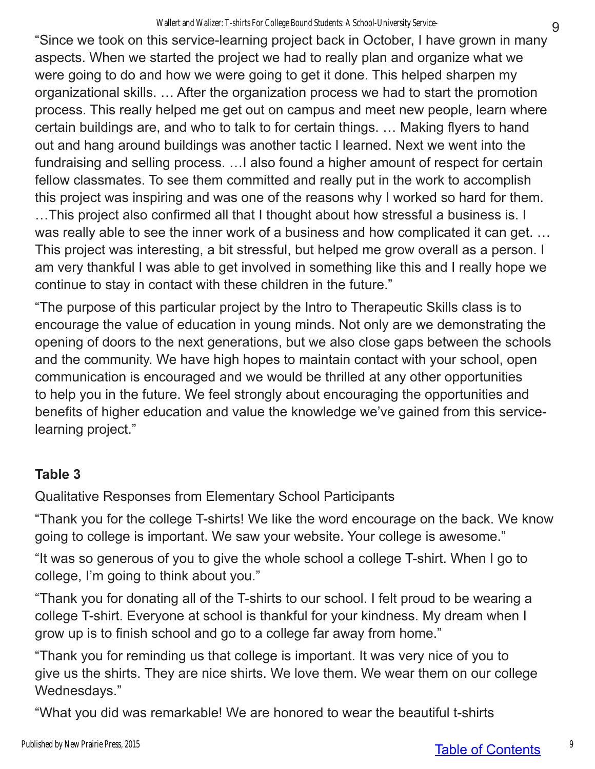"Since we took on this service-learning project back in October, I have grown in many aspects. When we started the project we had to really plan and organize what we were going to do and how we were going to get it done. This helped sharpen my organizational skills. … After the organization process we had to start the promotion process. This really helped me get out on campus and meet new people, learn where certain buildings are, and who to talk to for certain things. … Making flyers to hand out and hang around buildings was another tactic I learned. Next we went into the fundraising and selling process. …I also found a higher amount of respect for certain fellow classmates. To see them committed and really put in the work to accomplish this project was inspiring and was one of the reasons why I worked so hard for them.

…This project also confirmed all that I thought about how stressful a business is. I was really able to see the inner work of a business and how complicated it can get. … This project was interesting, a bit stressful, but helped me grow overall as a person. I am very thankful I was able to get involved in something like this and I really hope we continue to stay in contact with these children in the future."

"The purpose of this particular project by the Intro to Therapeutic Skills class is to encourage the value of education in young minds. Not only are we demonstrating the opening of doors to the next generations, but we also close gaps between the schools and the community. We have high hopes to maintain contact with your school, open communication is encouraged and we would be thrilled at any other opportunities to help you in the future. We feel strongly about encouraging the opportunities and benefits of higher education and value the knowledge we've gained from this servicelearning project."

### **Table 3**

Qualitative Responses from Elementary School Participants

"Thank you for the college T-shirts! We like the word encourage on the back. We know going to college is important. We saw your website. Your college is awesome."

"It was so generous of you to give the whole school a college T-shirt. When I go to college, I'm going to think about you."

"Thank you for donating all of the T-shirts to our school. I felt proud to be wearing a college T-shirt. Everyone at school is thankful for your kindness. My dream when I grow up is to finish school and go to a college far away from home."

"Thank you for reminding us that college is important. It was very nice of you to give us the shirts. They are nice shirts. We love them. We wear them on our college Wednesdays."

"What you did was remarkable! We are honored to wear the beautiful t-shirts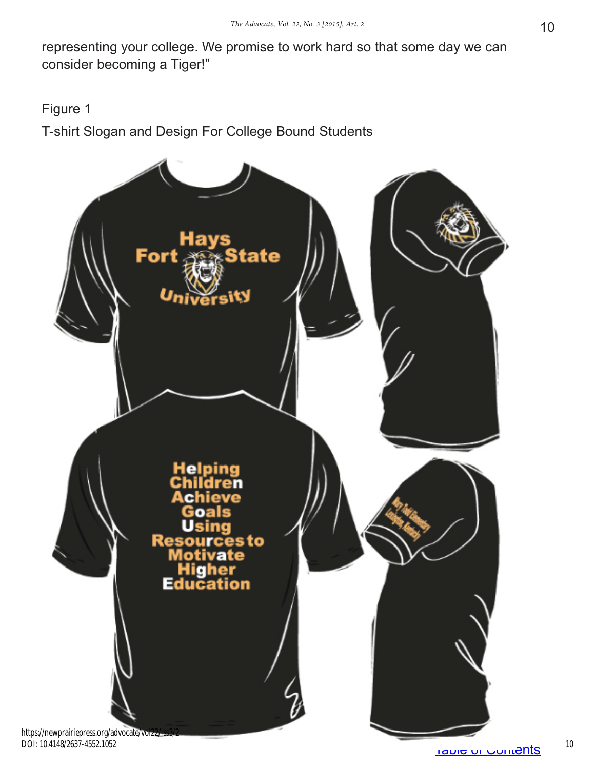representing your college. We promise to work hard so that some day we can consider becoming a Tiger!"

Figure 1

T-shirt Slogan and Design For College Bound Students



DOI: 10.4148/2637-4552.1052